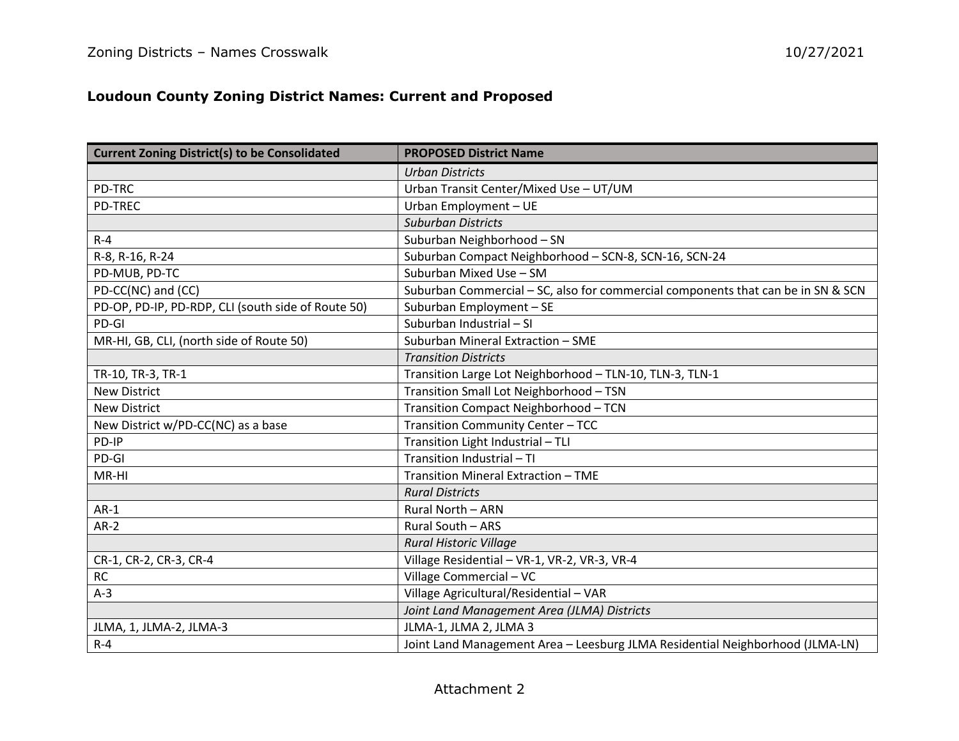## **Loudoun County Zoning District Names: Current and Proposed**

| <b>Current Zoning District(s) to be Consolidated</b> | <b>PROPOSED District Name</b>                                                    |
|------------------------------------------------------|----------------------------------------------------------------------------------|
|                                                      | <b>Urban Districts</b>                                                           |
| <b>PD-TRC</b>                                        | Urban Transit Center/Mixed Use - UT/UM                                           |
| <b>PD-TREC</b>                                       | Urban Employment - UE                                                            |
|                                                      | <b>Suburban Districts</b>                                                        |
| $R - 4$                                              | Suburban Neighborhood - SN                                                       |
| R-8, R-16, R-24                                      | Suburban Compact Neighborhood - SCN-8, SCN-16, SCN-24                            |
| PD-MUB, PD-TC                                        | Suburban Mixed Use - SM                                                          |
| PD-CC(NC) and (CC)                                   | Suburban Commercial - SC, also for commercial components that can be in SN & SCN |
| PD-OP, PD-IP, PD-RDP, CLI (south side of Route 50)   | Suburban Employment - SE                                                         |
| PD-GI                                                | Suburban Industrial - SI                                                         |
| MR-HI, GB, CLI, (north side of Route 50)             | Suburban Mineral Extraction - SME                                                |
|                                                      | <b>Transition Districts</b>                                                      |
| TR-10, TR-3, TR-1                                    | Transition Large Lot Neighborhood - TLN-10, TLN-3, TLN-1                         |
| <b>New District</b>                                  | Transition Small Lot Neighborhood - TSN                                          |
| <b>New District</b>                                  | Transition Compact Neighborhood - TCN                                            |
| New District w/PD-CC(NC) as a base                   | Transition Community Center - TCC                                                |
| PD-IP                                                | Transition Light Industrial - TLI                                                |
| PD-GI                                                | Transition Industrial - TI                                                       |
| MR-HI                                                | Transition Mineral Extraction - TME                                              |
|                                                      | <b>Rural Districts</b>                                                           |
| $AR-1$                                               | Rural North - ARN                                                                |
| $AR-2$                                               | Rural South - ARS                                                                |
|                                                      | Rural Historic Village                                                           |
| CR-1, CR-2, CR-3, CR-4                               | Village Residential - VR-1, VR-2, VR-3, VR-4                                     |
| RC                                                   | Village Commercial - VC                                                          |
| $A-3$                                                | Village Agricultural/Residential - VAR                                           |
|                                                      | Joint Land Management Area (JLMA) Districts                                      |
| JLMA, 1, JLMA-2, JLMA-3                              | JLMA-1, JLMA 2, JLMA 3                                                           |
| $R - 4$                                              | Joint Land Management Area - Leesburg JLMA Residential Neighborhood (JLMA-LN)    |